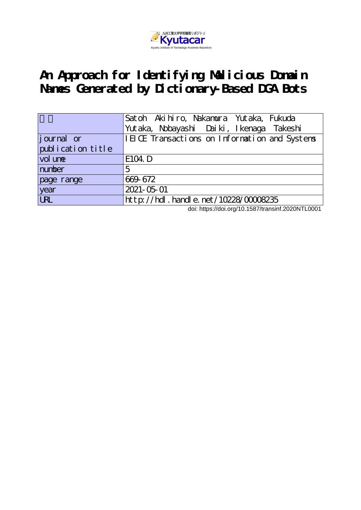

# **An Approach for Identifying Malicious Domain Names Generated by Dictionary-Based DGA Bots**

|                   | Satoh Akihiro, Nakamura Yutaka, Fukuda        |
|-------------------|-----------------------------------------------|
|                   | Yutaka, Nobayashi Daiki, Ikenaga Takeshi      |
| journal or        | IEICE Transactions on Information and Systems |
| publication title |                                               |
| vol une           | E104. D                                       |
| number            | 5                                             |
| page range        | 669-672                                       |
| year              | 2021-05-01                                    |
| URL               | http://hdl.handle.net/10228/00008235          |

doi: https://doi.org/10.1587/transinf.2020NTL0001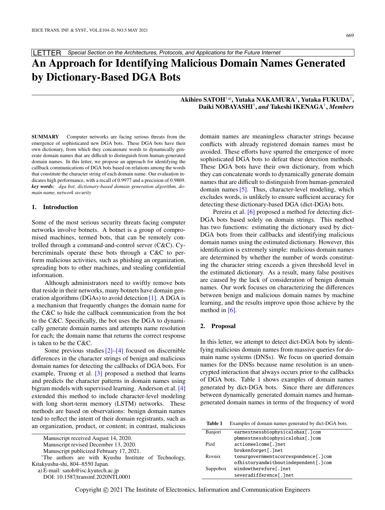LETTER Special Section on the Architectures, Protocols, and Applications for the Future Internet

# **An Approach for Identifying Malicious Domain Names Generated by Dictionary-Based DGA Bots**

# **Akihiro SATOH**†a)**, Yutaka NAKAMURA**† **, Yutaka FUKUDA**† **, Daiki NOBAYASHI**† **,** *and* **Takeshi IKENAGA**† **,** *Members*

**SUMMARY** Computer networks are facing serious threats from the emergence of sophisticated new DGA bots. These DGA bots have their own dictionary, from which they concatenate words to dynamically generate domain names that are difficult to distinguish from human-generated domain names. In this letter, we propose an approach for identifying the callback communications of DGA bots based on relations among the words that constitute the character string of each domain name. Our evaluation indicates high performance, with a recall of 0.9977 and a precision of 0.9869. *key words: dga bot, dictionary-based domain generation algorithm, domain name, network security*

## **1. Introduction**

Some of the most serious security threats facing computer networks involve botnets. A botnet is a group of compromised machines, termed bots, that can be remotely controlled through a command-and-control server (C&C). Cybercriminals operate these bots through a C&C to perform malicious activities, such as phishing an organization, spreading bots to other machines, and stealing confidential information.

Although administrators need to swiftly remove bots that reside in their networks, many botnets have domain generation algorithms (DGAs) to avoid detection [\[1\].](#page-4-0) A DGA is a mechanism that frequently changes the domain name for the C&C to hide the callback communication from the bot to the C&C. Specifically, the bot uses the DGA to dynamically generate domain names and attempts name resolution for each; the domain name that returns the correct response is taken to be the C&C.

Some previous studies  $[2]$ – $[4]$  focused on discernible differences in the character strings of benign and malicious domain names for detecting the callbacks of DGA bots. For example, Truong et al. [\[3\]](#page-4-3) proposed a method that learns and predicts the character patterns in domain names using bigram models with supervised learning. Anderson et al. [\[4\]](#page-4-2) extended this method to include character-level modeling with long short-term memory (LSTM) networks. These methods are based on observations: benign domain names tend to reflect the intent of their domain registrants, such as an organization, product, or content; in contrast, malicious

| Manuscript received August 14, 2020.                                          |  |
|-------------------------------------------------------------------------------|--|
| Manuscript revised December 13, 2020.                                         |  |
| $\mathbf{M} = \mathbf{M} + \mathbf{M} + \mathbf{M} + \mathbf{M} + \mathbf{M}$ |  |

Manuscript publicized February 17, 2021.

†The authors are with Kyushu Institute of Technology, Kitakyushu-shi, 804–8550 Japan. a) E-mail: satoh@isc.kyutech.ac.jp

DOI: 10.1587/transinf.2020NTL0001

domain names are meaningless character strings because conflicts with already registered domain names must be avoided. These efforts have spurred the emergence of more sophisticated DGA bots to defeat these detection methods. These DGA bots have their own dictionary, from which they can concatenate words to dynamically generate domain names that are difficult to distinguish from human-generated domain names [\[5\].](#page-4-4) Thus, character-level modeling, which excludes words, is unlikely to ensure sufficient accuracy for detecting these dictionary-based DGA (dict-DGA) bots.

Pereira et al. [\[6\]](#page-4-5) proposed a method for detecting dict-DGA bots based solely on domain strings. This method has two functions: estimating the dictionary used by dict-DGA bots from their callbacks and identifying malicious domain names using the estimated dictionary. However, this identification is extremely simple: malicious domain names are determined by whether the number of words constituting the character string exceeds a given threshold level in the estimated dictionary. As a result, many false positives are caused by the lack of consideration of benign domain names. Our work focuses on characterizing the differences between benign and malicious domain names by machine learning, and the results improve upon those achieve by the method in  $[6]$ .

#### **2. Proposal**

In this letter, we attempt to detect dict-DGA bots by identifying malicious domain names from massive queries for domain name systems (DNSs). We focus on queried domain names for the DNSs because name resolution is an unencrypted interaction that always occurs prior to the callbacks of DGA bots. Table 1 shows examples of domain names generated by dict-DGA bots. Since there are differences between dynamically generated domain names and humangenerated domain names in terms of the frequency of word

**Table 1** Examples of domain names generated by dict-DGA bots.

| Banjori  | earnestnessbiophysicalohax[.]com        |
|----------|-----------------------------------------|
|          | pbmnestnessbiophysicalohax[.]com        |
| Pizd     | actionwelcome[.]net                     |
|          | brokenforget[.]net                      |
| Rovnix   | toourgovernmentscorrespondence [. ] com |
|          | ofhistoryandwithoutindependent[.]com    |
| Suppobox | windowtherefore[.]net                   |
|          | severadifference[.]net                  |

Copyright © 2021 The Institute of Electronics, Information and Communication Engineers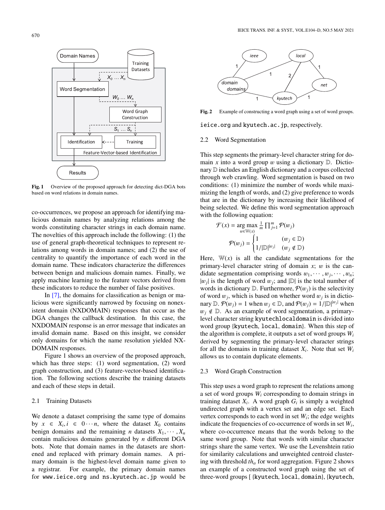

Fig. 1 Overview of the proposed approach for detecting dict-DGA bots based on word relations in domain names.

co-occurrences, we propose an approach for identifying malicious domain names by analyzing relations among the words constituting character strings in each domain name. The novelties of this approach include the following: (1) the use of general graph-theoretical techniques to represent relations among words in domain names; and (2) the use of centrality to quantify the importance of each word in the domain name. These indicators characterize the differences between benign and malicious domain names. Finally, we apply machine learning to the feature vectors derived from these indicators to reduce the number of false positives.

In [\[7\],](#page-4-6) the domains for classification as benign or malicious were significantly narrowed by focusing on nonexistent domain (NXDOMAIN) responses that occur as the DGA changes the callback destination. In this case, the NXDOMAIN response is an error message that indicates an invalid domain name. Based on this insight, we consider only domains for which the name resolution yielded NX-DOMAIN responses.

Figure 1 shows an overview of the proposed approach, which has three steps: (1) word segmentation, (2) word graph construction, and (3) feature-vector-based identification. The following sections describe the training datasets and each of these steps in detail.

# 2.1 Training Datasets

We denote a dataset comprising the same type of domains by  $x \in X_i, i \in \{0 \cdots n\}$ , where the dataset  $X_0$  contains benign domains and the remaining *n* datasets  $X_1, \dots, X_n$ contain malicious domains generated by *n* different DGA bots. Note that domain names in the datasets are shortened and replaced with primary domain names. A primary domain is the highest-level domain name given to a registrar. For example, the primary domain names for www.ieice.org and ns.kyutech.ac.jp would be



**Fig. 2** Example of constructing a word graph using a set of word groups.

ieice.org and kyutech.ac.jp, respectively.

## 2.2 Word Segmentation

This step segments the primary-level character string for domain *x* into a word group *w* using a dictionary  $D$ . Dictionary D includes an English dictionary and a corpus collected through web crawling. Word segmentation is based on two conditions: (1) minimize the number of words while maximizing the length of words, and (2) give preference to words that are in the dictionary by increasing their likelihood of being selected. We define this word segmentation approach with the following equation:

$$
\mathcal{F}(x) = \underset{w \in \mathbb{W}(x)}{\arg \max} \frac{1}{m} \prod_{j=1}^{m} \mathcal{P}(w_j)
$$
\n
$$
\mathcal{P}(w_j) = \begin{cases} 1 & (w_j \in \mathbb{D}) \\ 1 / |\mathbb{D}|^{w_j} & (w_j \notin \mathbb{D}) \end{cases}
$$

Here,  $W(x)$  is all the candidate segmentations for the primary-level character string of domain  $x$ ; w is the candidate segmentation comprising words  $w_1, \dots, w_j, \dots, w_n$ ;  $|w_j|$  is the length of word  $w_j$ ; and  $|D|$  is the total number of words in dictionary  $\mathbb{D}$ . Furthermore,  $\mathcal{P}(w_i)$  is the selectivity of word  $w_j$ , which is based on whether word  $w_j$  is in dictionary  $\mathbb{D} \cdot \mathcal{P}(w_j) = 1$  when  $w_j \in \mathbb{D}$ , and  $\mathcal{P}(w_j) = 1/|\mathbb{D}|^{|w_j|}$  when  $w_i \notin \mathbb{D}$ . As an example of word segmentation, a primarylevel character string kyutechlocaldomain is divided into word group {kyutech, local, domain}. When this step of the algorithm is complete, it outputs a set of word groups *W<sup>i</sup>* derived by segmenting the primary-level character strings for all the domains in training dataset *X<sup>i</sup>* . Note that set *W<sup>i</sup>* allows us to contain duplicate elements.

#### 2.3 Word Graph Construction

This step uses a word graph to represent the relations among a set of word groups *W<sup>i</sup>* corresponding to domain strings in training dataset  $X_i$ . A word graph  $G_i$  is simply a weighted undirected graph with a vertex set and an edge set. Each vertex corresponds to each word in set  $W_i$ ; the edge weights indicate the frequencies of co-occurrence of words in set *W<sup>i</sup>* , where co-occurrence means that the words belong to the same word group. Note that words with similar character strings share the same vertex. We use the Levenshtein ratio for similarity calculations and unweighted centroid clustering with threshold  $th_{\alpha}$  for word aggregation. Figure 2 shows an example of a constructed word graph using the set of three-word groups [ {kyutech, local, domain}, {kyutech,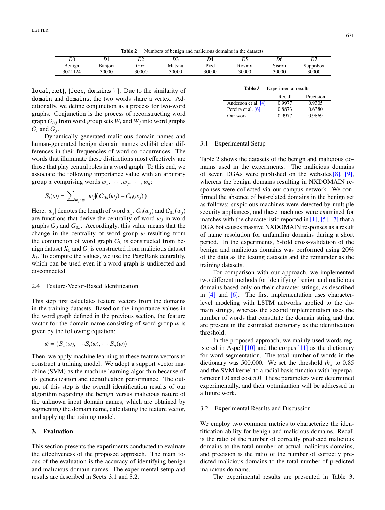**Table 2** Numbers of benign and malicious domains in the datasets.

| DΟ                          |                  | $\mathbf{a}$  | $\mathbf{r}$    | D4            | D.                     | D6              | ∽∼<br>D           |
|-----------------------------|------------------|---------------|-----------------|---------------|------------------------|-----------------|-------------------|
| T.<br>Benign<br>124<br>3021 | Banıorı<br>30000 | JOZ1<br>30000 | Matsnu<br>30000 | Piza<br>30000 | <b>covnix</b><br>30000 | Sisron<br>30000 | Suppobox<br>30000 |

local, net}, {ieee, domains } ]. Due to the similarity of domain and domains, the two words share a vertex. Additionally, we define conjunction as a process for two-word graphs. Conjunction is the process of reconstructing word graph  $G_{i:j}$  from word group sets  $W_i$  and  $W_j$  into word graphs  $G_i$  and  $G_j$ .

Dynamically generated malicious domain names and human-generated benign domain names exhibit clear differences in their frequencies of word co-occurrences. The words that illuminate these distinctions most effectively are those that play central roles in a word graph. To this end, we associate the following importance value with an arbitrary group w comprising words  $w_1, \dots, w_j, \dots, w_n$ :

$$
S_i(w) = \sum_{w_j \in w} |w_j| (C_{0:i}(w_j) - C_0(w_j))
$$

Here,  $|w_j|$  denotes the length of word  $w_j$ .  $C_0(w_j)$  and  $C_{0:i}(w_j)$ are functions that derive the centrality of word  $w_j$  in word graphs  $G_0$  and  $G_{0:i}$ . Accordingly, this value means that the change in the centrality of word group  $w$  resulting from the conjunction of word graph  $G_0$  is constructed from benign dataset  $X_0$  and  $G_i$  is constructed from malicious dataset *Xi* . To compute the values, we use the PageRank centrality, which can be used even if a word graph is undirected and disconnected.

# 2.4 Feature-Vector-Based Identification

This step first calculates feature vectors from the domains in the training datasets. Based on the importance values in the word graph defined in the previous section, the feature vector for the domain name consisting of word group  $w$  is given by the following equation:

$$
\vec{w} = (S_1(w), \cdots S_i(w), \cdots S_n(w))
$$

Then, we apply machine learning to these feature vectors to construct a training model. We adopt a support vector machine (SVM) as the machine learning algorithm because of its generalization and identification performance. The output of this step is the overall identification results of our algorithm regarding the benign versus malicious nature of the unknown input domain names, which are obtained by segmenting the domain name, calculating the feature vector, and applying the training model.

# **3. Evaluation**

This section presents the experiments conducted to evaluate the effectiveness of the proposed approach. The main focus of the evaluation is the accuracy of identifying benign and malicious domain names. The experimental setup and results are described in Sects. 3.1 and 3.2.

| Table 3 | Experimental results. |  |
|---------|-----------------------|--|
|         |                       |  |

|                     | Recall | Precision |
|---------------------|--------|-----------|
| Anderson et al. [4] | 0.9977 | 0.9305    |
| Pereira et al. [6]  | 0.8873 | 0.6380    |
| Our work            | 0.9977 | 0.9869    |

#### 3.1 Experimental Setup

Table 2 shows the datasets of the benign and malicious domains used in the experiments. The malicious domains of seven DGAs were published on the websites  $[8]$ ,  $[9]$ , whereas the benign domains resulting in NXDOMAIN responses were collected via our campus network. We confirmed the absence of bot-related domains in the benign set as follows: suspicious machines were detected by multiple security appliances, and these machines were examined for matches with the characteristic reported in  $[1]$ ,  $[5]$ ,  $[7]$  that a DGA bot causes massive NXDOMAIN responses as a result of name resolution for unfamiliar domains during a short period. In the experiments, 5-fold cross-validation of the benign and malicious domains was performed using 20% of the data as the testing datasets and the remainder as the training datasets.

For comparison with our approach, we implemented two different methods for identifying benign and malicious domains based only on their character strings, as described in [\[4\]](#page-4-2) and [\[6\].](#page-4-5) The first implementation uses characterlevel modeling with LSTM networks applied to the domain strings, whereas the second implementation uses the number of words that constitute the domain string and that are present in the estimated dictionary as the identification threshold.

In the proposed approach, we mainly used words registered in Aspell  $[10]$  and the corpus  $[11]$  as the dictionary for word segmentation. The total number of words in the dictionary was 500,000. We set the threshold  $th_{\alpha}$  to 0.85 and the SVM kernel to a radial basis function with hyperparameter 1.0 and cost 5.0. These parameters were determined experimentally, and their optimization will be addressed in a future work.

#### 3.2 Experimental Results and Discussion

We employ two common metrics to characterize the identification ability for benign and malicious domains. Recall is the ratio of the number of correctly predicted malicious domains to the total number of actual malicious domains, and precision is the ratio of the number of correctly predicted malicious domains to the total number of predicted malicious domains.

The experimental results are presented in Table 3,